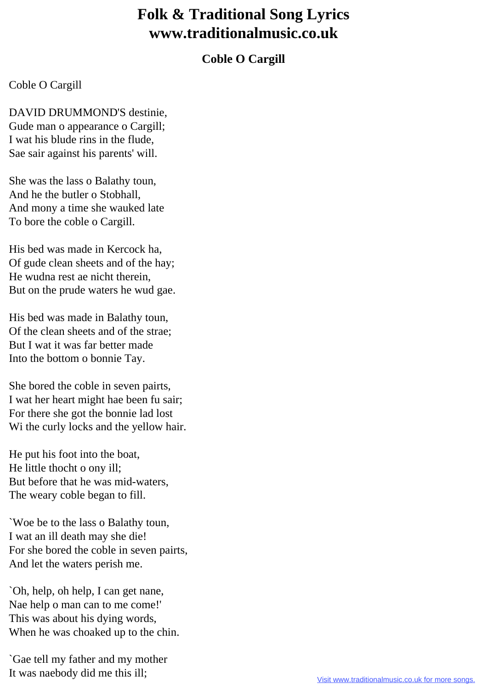## **Folk & Traditional Song Lyrics www.traditionalmusic.co.uk**

## **Coble O Cargill**

## Coble O Cargill

DAVID DRUMMOND'S destinie, Gude man o appearance o Cargill; I wat his blude rins in the flude, Sae sair against his parents' will.

She was the lass o Balathy toun, And he the butler o Stobhall, And mony a time she wauked late To bore the coble o Cargill.

His bed was made in Kercock ha, Of gude clean sheets and of the hay; He wudna rest ae nicht therein, But on the prude waters he wud gae.

His bed was made in Balathy toun, Of the clean sheets and of the strae; But I wat it was far better made Into the bottom o bonnie Tay.

She bored the coble in seven pairts, I wat her heart might hae been fu sair; For there she got the bonnie lad lost Wi the curly locks and the yellow hair.

He put his foot into the boat, He little thocht o ony ill; But before that he was mid-waters, The weary coble began to fill.

`Woe be to the lass o Balathy toun, I wat an ill death may she die! For she bored the coble in seven pairts, And let the waters perish me.

`Oh, help, oh help, I can get nane, Nae help o man can to me come!' This was about his dying words, When he was choaked up to the chin.

`Gae tell my father and my mother It was naebody did me this ill;